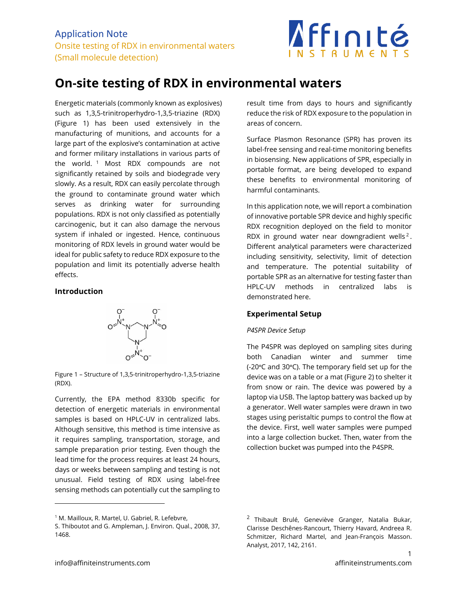

# **On-site testing of RDX in environmental waters**

Energetic materials (commonly known as explosives) such as 1,3,5-trinitroperhydro-1,3,5-triazine (RDX) (Figure 1) has been used extensively in the manufacturing of munitions, and accounts for a large part of the explosive's contamination at active and former military installations in various parts of the world. <sup>1</sup> Most RDX compounds are not significantly retained by soils and biodegrade very slowly. As a result, RDX can easily percolate through the ground to contaminate ground water which serves as drinking water for surrounding populations. RDX is not only classified as potentially carcinogenic, but it can also damage the nervous system if inhaled or ingested. Hence, continuous monitoring of RDX levels in ground water would be ideal for public safety to reduce RDX exposure to the population and limit its potentially adverse health effects.

### **Introduction**



Figure 1 – Structure of 1,3,5-trinitroperhydro-1,3,5-triazine (RDX).

Currently, the EPA method 8330b specific for detection of energetic materials in environmental samples is based on HPLC-UV in centralized labs. Although sensitive, this method is time intensive as it requires sampling, transportation, storage, and sample preparation prior testing. Even though the lead time for the process requires at least 24 hours, days or weeks between sampling and testing is not unusual. Field testing of RDX using label-free sensing methods can potentially cut the sampling to

result time from days to hours and significantly reduce the risk of RDX exposure to the population in areas of concern.

Surface Plasmon Resonance (SPR) has proven its label-free sensing and real-time monitoring benefits in biosensing. New applications of SPR, especially in portable format, are being developed to expand these benefits to environmental monitoring of harmful contaminants.

In this application note, we will report a combination of innovative portable SPR device and highly specific RDX recognition deployed on the field to monitor RDX in ground water near downgradient wells<sup>2</sup>. Different analytical parameters were characterized including sensitivity, selectivity, limit of detection and temperature. The potential suitability of portable SPR as an alternative for testing faster than HPLC-UV methods in centralized labs is demonstrated here.

### **Experimental Setup**

#### *P4SPR Device Setup*

The P4SPR was deployed on sampling sites during both Canadian winter and summer time (-20ᵒC and 30ᵒC). The temporary field set up for the device was on a table or a mat (Figure 2) to shelter it from snow or rain. The device was powered by a laptop via USB. The laptop battery was backed up by a generator. Well water samples were drawn in two stages using peristaltic pumps to control the flow at the device. First, well water samples were pumped into a large collection bucket. Then, water from the collection bucket was pumped into the P4SPR.

<sup>&</sup>lt;sup>1</sup> M. Mailloux, R. Martel, U. Gabriel, R. Lefebvre,

S. Thiboutot and G. Ampleman, J. Environ. Qual., 2008, 37, 1468.

<sup>&</sup>lt;sup>2</sup> Thibault Brulé, Geneviève Granger, Natalia Bukar, Clarisse Deschênes-Rancourt, Thierry Havard, Andreea R. Schmitzer, Richard Martel, and Jean-François Masson. Analyst, 2017, 142, 2161.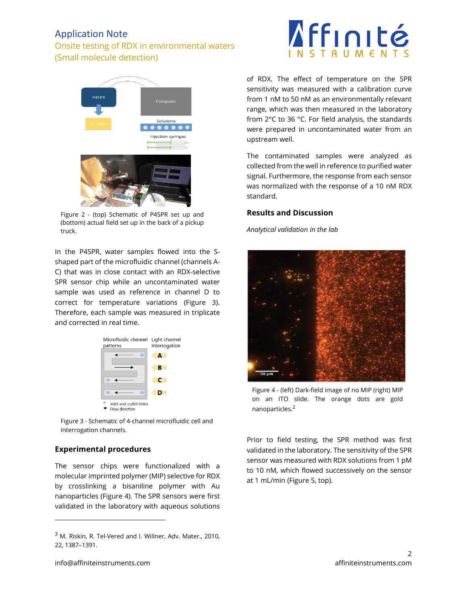## Application Note

## Onsite testing of RDX in environmental waters (Small molecule detection)



Figure 2 - (top) Schematic of P4SPR set up and (bottom) actual field set up in the back of a pickup truck.

In the P4SPR, water samples flowed into the Sshaped part of the microfluidic channel (channels A-C) that was in close contact with an RDX-selective SPR sensor chip while an uncontaminated water sample was used as reference in channel D to correct for temperature variations (Figure 3). Therefore, each sample was measured in triplicate and corrected in real time.



Figure 3 - Schematic of 4-channel microfluidic cell and interrogation channels.

## **Experimental procedures**

The sensor chips were functionalized with a molecular imprinted polymer (MIP) selective for RDX by crosslinking a bisaniline polymer with Au nanoparticles (Figure 4). The SPR sensors were first validated in the laboratory with aqueous solutions



of RDX. The effect of temperature on the SPR sensitivity was measured with a calibration curve from 1 nM to 50 nM as an environmentally relevant range, which was then measured in the laboratory from 2°C to 36 °C. For field analysis, the standards were prepared in uncontaminated water from an upstream well.

The contaminated samples were analyzed as collected from the well in reference to purified water signal. Furthermore, the response from each sensor was normalized with the response of a 10 nM RDX standard.

### **Results and Discussion**

*Analytical validation in the lab*



Figure 4 - (left) Dark-field image of no MIP (right) MIP on an ITO slide. The orange dots are gold nanoparticles. 2

Prior to field testing, the SPR method was first validated in the laboratory. The sensitivity of the SPR sensor was measured with RDX solutions from 1 pM to 10 nM, which flowed successively on the sensor at 1 mL/min (Figure 5, top).

 $3$  M. Riskin, R. Tel-Vered and I. Willner, Adv. Mater., 2010, 22, 1387–1391.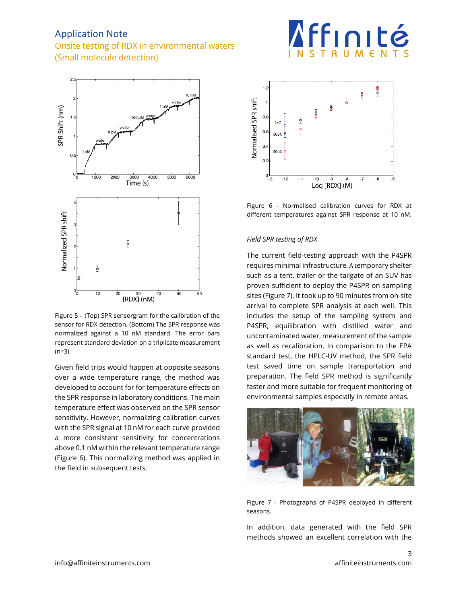## Application Note

## Onsite testing of RDX in environmental waters (Small molecule detection)



Figure 5 – (Top) SPR sensorgram for the calibration of the sensor for RDX detection. (Bottom) The SPR response was normalized against a 10 nM standard. The error bars represent standard deviation on a triplicate measurement (n=3).

Given field trips would happen at opposite seasons over a wide temperature range, the method was developed to account for for temperature effects on the SPR response in laboratory conditions. The main temperature effect was observed on the SPR sensor sensitivity. However, normalizing calibration curves with the SPR signal at 10 nM for each curve provided a more consistent sensitivity for concentrations above 0.1 nM within the relevant temperature range (Figure 6). This normalizing method was applied in the field in subsequent tests.



**Affinité** 

Figure 6 - Normalised calibration curves for RDX at different temperatures against SPR response at 10 nM.

### *Field SPR testing of RDX*

The current field-testing approach with the P4SPR requires minimal infrastructure. A temporary shelter such as a tent, trailer or the tailgate of an SUV has proven sufficient to deploy the P4SPR on sampling sites (Figure 7). It took up to 90 minutes from on-site arrival to complete SPR analysis at each well. This includes the setup of the sampling system and P4SPR, equilibration with distilled water and uncontaminated water, measurement of the sample as well as recalibration. In comparison to the EPA standard test, the HPLC-UV method, the SPR field test saved time on sample transportation and preparation. The field SPR method is significantly faster and more suitable for frequent monitoring of environmental samples especially in remote areas.



Figure 7 - Photographs of P4SPR deployed in different seasons.

In addition, data generated with the field SPR methods showed an excellent correlation with the